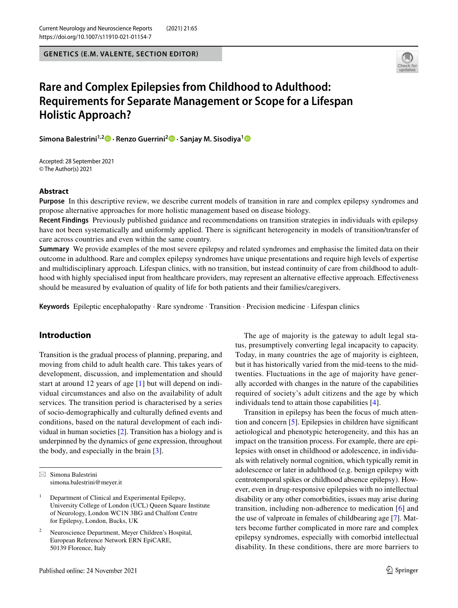**GENETICS (E.M. VALENTE, SECTION EDITOR)**



# **Rare and Complex Epilepsies from Childhood to Adulthood: Requirements for Separate Management or Scope for a Lifespan Holistic Approach?**

**Simona Balestrini1,2 · Renzo Guerrini2  [·](http://orcid.org/0000-0002-7272-7079) Sanjay M. Sisodiya[1](http://orcid.org/0000-0002-1511-5893)**

Accepted: 28 September 2021 © The Author(s) 2021

#### **Abstract**

**Purpose** In this descriptive review, we describe current models of transition in rare and complex epilepsy syndromes and propose alternative approaches for more holistic management based on disease biology.

**Recent Findings** Previously published guidance and recommendations on transition strategies in individuals with epilepsy have not been systematically and uniformly applied. There is significant heterogeneity in models of transition/transfer of care across countries and even within the same country.

**Summary** We provide examples of the most severe epilepsy and related syndromes and emphasise the limited data on their outcome in adulthood. Rare and complex epilepsy syndromes have unique presentations and require high levels of expertise and multidisciplinary approach. Lifespan clinics, with no transition, but instead continuity of care from childhood to adulthood with highly specialised input from healthcare providers, may represent an alternative efective approach. Efectiveness should be measured by evaluation of quality of life for both patients and their families/caregivers.

**Keywords** Epileptic encephalopathy · Rare syndrome · Transition · Precision medicine · Lifespan clinics

# **Introduction**

Transition is the gradual process of planning, preparing, and moving from child to adult health care. This takes years of development, discussion, and implementation and should start at around 12 years of age [[1](#page-7-0)] but will depend on individual circumstances and also on the availability of adult services. The transition period is characterised by a series of socio-demographically and culturally defned events and conditions, based on the natural development of each individual in human societies [\[2](#page-8-0)]. Transition has a biology and is underpinned by the dynamics of gene expression, throughout the body, and especially in the brain [[3](#page-8-1)].

The age of majority is the gateway to adult legal status, presumptively converting legal incapacity to capacity. Today, in many countries the age of majority is eighteen, but it has historically varied from the mid-teens to the midtwenties. Fluctuations in the age of majority have generally accorded with changes in the nature of the capabilities required of society's adult citizens and the age by which individuals tend to attain those capabilities [[4\]](#page-8-2).

Transition in epilepsy has been the focus of much attention and concern [[5\]](#page-8-3). Epilepsies in children have signifcant aetiological and phenotypic heterogeneity, and this has an impact on the transition process. For example, there are epilepsies with onset in childhood or adolescence, in individuals with relatively normal cognition, which typically remit in adolescence or later in adulthood (e.g. benign epilepsy with centrotemporal spikes or childhood absence epilepsy). However, even in drug-responsive epilepsies with no intellectual disability or any other comorbidities, issues may arise during transition, including non-adherence to medication [\[6](#page-8-4)] and the use of valproate in females of childbearing age [[7\]](#page-8-5). Matters become further complicated in more rare and complex epilepsy syndromes, especially with comorbid intellectual disability. In these conditions, there are more barriers to

 $\boxtimes$  Simona Balestrini simona.balestrini@meyer.it

<sup>1</sup> Department of Clinical and Experimental Epilepsy, University College of London (UCL) Queen Square Institute of Neurology, London WC1N 3BG and Chalfont Centre for Epilepsy, London, Bucks, UK

<sup>2</sup> Neuroscience Department, Meyer Children's Hospital, European Reference Network ERN EpiCARE, 50139 Florence, Italy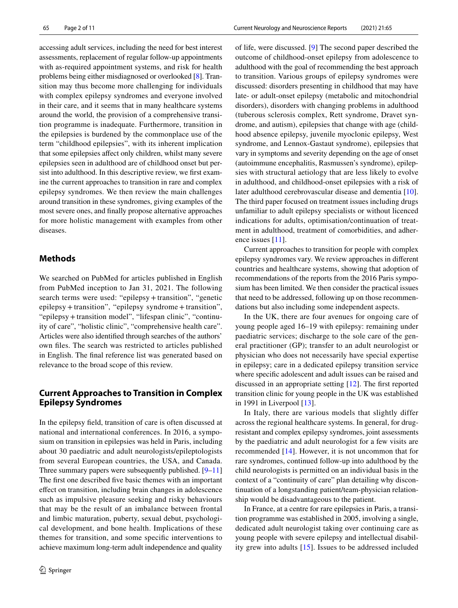accessing adult services, including the need for best interest assessments, replacement of regular follow-up appointments with as-required appointment systems, and risk for health problems being either misdiagnosed or overlooked [[8\]](#page-8-6). Transition may thus become more challenging for individuals with complex epilepsy syndromes and everyone involved in their care, and it seems that in many healthcare systems around the world, the provision of a comprehensive transition programme is inadequate. Furthermore, transition in the epilepsies is burdened by the commonplace use of the term "childhood epilepsies", with its inherent implication that some epilepsies afect only children, whilst many severe epilepsies seen in adulthood are of childhood onset but persist into adulthood. In this descriptive review, we frst examine the current approaches to transition in rare and complex epilepsy syndromes. We then review the main challenges around transition in these syndromes, giving examples of the most severe ones, and fnally propose alternative approaches for more holistic management with examples from other diseases.

#### **Methods**

We searched on PubMed for articles published in English from PubMed inception to Jan 31, 2021. The following search terms were used: "epilepsy + transition", "genetic epilepsy+transition", "epilepsy syndrome+transition", "epilepsy+transition model", "lifespan clinic", "continuity of care", "holistic clinic", "comprehensive health care". Articles were also identifed through searches of the authors' own fles. The search was restricted to articles published in English. The fnal reference list was generated based on relevance to the broad scope of this review.

## **Current Approaches to Transition in Complex Epilepsy Syndromes**

In the epilepsy feld, transition of care is often discussed at national and international conferences. In 2016, a symposium on transition in epilepsies was held in Paris, including about 30 paediatric and adult neurologists/epileptologists from several European countries, the USA, and Canada. Three summary papers were subsequently published. [[9–](#page-8-7)[11\]](#page-8-8) The frst one described fve basic themes with an important efect on transition, including brain changes in adolescence such as impulsive pleasure seeking and risky behaviours that may be the result of an imbalance between frontal and limbic maturation, puberty, sexual debut, psychological development, and bone health. Implications of these themes for transition, and some specifc interventions to achieve maximum long-term adult independence and quality

of life, were discussed. [[9](#page-8-7)] The second paper described the outcome of childhood-onset epilepsy from adolescence to adulthood with the goal of recommending the best approach to transition. Various groups of epilepsy syndromes were discussed: disorders presenting in childhood that may have late- or adult-onset epilepsy (metabolic and mitochondrial disorders), disorders with changing problems in adulthood (tuberous sclerosis complex, Rett syndrome, Dravet syndrome, and autism), epilepsies that change with age (childhood absence epilepsy, juvenile myoclonic epilepsy, West syndrome, and Lennox-Gastaut syndrome), epilepsies that vary in symptoms and severity depending on the age of onset (autoimmune encephalitis, Rasmussen's syndrome), epilepsies with structural aetiology that are less likely to evolve in adulthood, and childhood-onset epilepsies with a risk of later adulthood cerebrovascular disease and dementia [\[10](#page-8-9)]. The third paper focused on treatment issues including drugs unfamiliar to adult epilepsy specialists or without licenced indications for adults, optimisation/continuation of treatment in adulthood, treatment of comorbidities, and adher-ence issues [\[11](#page-8-8)].

Current approaches to transition for people with complex epilepsy syndromes vary. We review approaches in diferent countries and healthcare systems, showing that adoption of recommendations of the reports from the 2016 Paris symposium has been limited. We then consider the practical issues that need to be addressed, following up on those recommendations but also including some independent aspects.

In the UK, there are four avenues for ongoing care of young people aged 16–19 with epilepsy: remaining under paediatric services; discharge to the sole care of the general practitioner (GP); transfer to an adult neurologist or physician who does not necessarily have special expertise in epilepsy; care in a dedicated epilepsy transition service where specifc adolescent and adult issues can be raised and discussed in an appropriate setting [[12](#page-8-10)]. The frst reported transition clinic for young people in the UK was established in 1991 in Liverpool [\[13](#page-8-11)].

In Italy, there are various models that slightly differ across the regional healthcare systems. In general, for drugresistant and complex epilepsy syndromes, joint assessments by the paediatric and adult neurologist for a few visits are recommended [\[14\]](#page-8-12). However, it is not uncommon that for rare syndromes, continued follow-up into adulthood by the child neurologists is permitted on an individual basis in the context of a "continuity of care" plan detailing why discontinuation of a longstanding patient/team-physician relationship would be disadvantageous to the patient.

In France, at a centre for rare epilepsies in Paris, a transition programme was established in 2005, involving a single, dedicated adult neurologist taking over continuing care as young people with severe epilepsy and intellectual disability grew into adults [[15](#page-8-13)]. Issues to be addressed included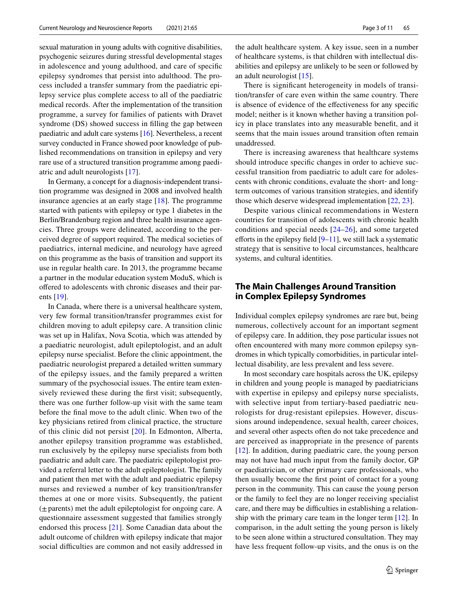sexual maturation in young adults with cognitive disabilities, psychogenic seizures during stressful developmental stages in adolescence and young adulthood, and care of specifc epilepsy syndromes that persist into adulthood. The process included a transfer summary from the paediatric epilepsy service plus complete access to all of the paediatric medical records. After the implementation of the transition programme, a survey for families of patients with Dravet syndrome (DS) showed success in flling the gap between paediatric and adult care systems [\[16](#page-8-14)]. Nevertheless, a recent survey conducted in France showed poor knowledge of published recommendations on transition in epilepsy and very rare use of a structured transition programme among paediatric and adult neurologists [[17\]](#page-8-15).

In Germany, a concept for a diagnosis‐independent transition programme was designed in 2008 and involved health insurance agencies at an early stage [\[18\]](#page-8-16). The programme started with patients with epilepsy or type 1 diabetes in the Berlin/Brandenburg region and three health insurance agencies. Three groups were delineated, according to the perceived degree of support required. The medical societies of paediatrics, internal medicine, and neurology have agreed on this programme as the basis of transition and support its use in regular health care. In 2013, the programme became a partner in the modular education system ModuS, which is ofered to adolescents with chronic diseases and their parents [\[19](#page-8-17)].

In Canada, where there is a universal healthcare system, very few formal transition/transfer programmes exist for children moving to adult epilepsy care. A transition clinic was set up in Halifax, Nova Scotia, which was attended by a paediatric neurologist, adult epileptologist, and an adult epilepsy nurse specialist. Before the clinic appointment, the paediatric neurologist prepared a detailed written summary of the epilepsy issues, and the family prepared a written summary of the psychosocial issues. The entire team extensively reviewed these during the frst visit; subsequently, there was one further follow-up visit with the same team before the fnal move to the adult clinic. When two of the key physicians retired from clinical practice, the structure of this clinic did not persist [[20](#page-8-18)]. In Edmonton, Alberta, another epilepsy transition programme was established, run exclusively by the epilepsy nurse specialists from both paediatric and adult care. The paediatric epileptologist provided a referral letter to the adult epileptologist. The family and patient then met with the adult and paediatric epilepsy nurses and reviewed a number of key transition/transfer themes at one or more visits. Subsequently, the patient (±parents) met the adult epileptologist for ongoing care. A questionnaire assessment suggested that families strongly endorsed this process [[21](#page-8-19)]. Some Canadian data about the adult outcome of children with epilepsy indicate that major social difficulties are common and not easily addressed in the adult healthcare system. A key issue, seen in a number of healthcare systems, is that children with intellectual disabilities and epilepsy are unlikely to be seen or followed by an adult neurologist [[15](#page-8-13)].

There is signifcant heterogeneity in models of transition/transfer of care even within the same country. There is absence of evidence of the efectiveness for any specifc model; neither is it known whether having a transition policy in place translates into any measurable beneft, and it seems that the main issues around transition often remain unaddressed.

There is increasing awareness that healthcare systems should introduce specifc changes in order to achieve successful transition from paediatric to adult care for adolescents with chronic conditions, evaluate the short- and longterm outcomes of various transition strategies, and identify those which deserve widespread implementation [[22](#page-8-20), [23](#page-8-21)].

Despite various clinical recommendations in Western countries for transition of adolescents with chronic health conditions and special needs [[24](#page-8-22)–[26\]](#page-8-23), and some targeted efforts in the epilepsy field  $[9-11]$  $[9-11]$ , we still lack a systematic strategy that is sensitive to local circumstances, healthcare systems, and cultural identities.

#### **The Main Challenges Around Transition in Complex Epilepsy Syndromes**

Individual complex epilepsy syndromes are rare but, being numerous, collectively account for an important segment of epilepsy care. In addition, they pose particular issues not often encountered with many more common epilepsy syndromes in which typically comorbidities, in particular intellectual disability, are less prevalent and less severe.

In most secondary care hospitals across the UK, epilepsy in children and young people is managed by paediatricians with expertise in epilepsy and epilepsy nurse specialists, with selective input from tertiary-based paediatric neurologists for drug-resistant epilepsies. However, discussions around independence, sexual health, career choices, and several other aspects often do not take precedence and are perceived as inappropriate in the presence of parents [[12\]](#page-8-10). In addition, during paediatric care, the young person may not have had much input from the family doctor, GP or paediatrician, or other primary care professionals, who then usually become the frst point of contact for a young person in the community. This can cause the young person or the family to feel they are no longer receiving specialist care, and there may be difficulties in establishing a relationship with the primary care team in the longer term [\[12](#page-8-10)]. In comparison, in the adult setting the young person is likely to be seen alone within a structured consultation. They may have less frequent follow-up visits, and the onus is on the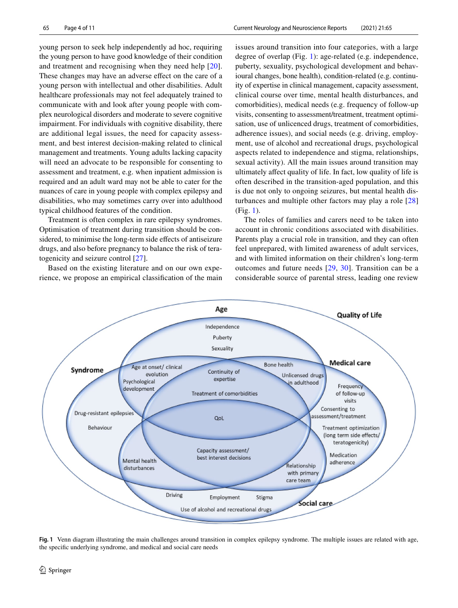young person to seek help independently ad hoc, requiring the young person to have good knowledge of their condition and treatment and recognising when they need help [[20](#page-8-18)]. These changes may have an adverse effect on the care of a young person with intellectual and other disabilities. Adult healthcare professionals may not feel adequately trained to communicate with and look after young people with complex neurological disorders and moderate to severe cognitive impairment. For individuals with cognitive disability, there are additional legal issues, the need for capacity assessment, and best interest decision-making related to clinical management and treatments. Young adults lacking capacity will need an advocate to be responsible for consenting to assessment and treatment, e.g. when inpatient admission is required and an adult ward may not be able to cater for the nuances of care in young people with complex epilepsy and disabilities, who may sometimes carry over into adulthood typical childhood features of the condition.

Treatment is often complex in rare epilepsy syndromes. Optimisation of treatment during transition should be considered, to minimise the long-term side efects of antiseizure drugs, and also before pregnancy to balance the risk of teratogenicity and seizure control [\[27](#page-8-24)].

Based on the existing literature and on our own experience, we propose an empirical classifcation of the main issues around transition into four categories, with a large degree of overlap (Fig. [1\)](#page-3-0): age-related (e.g. independence, puberty, sexuality, psychological development and behavioural changes, bone health), condition-related (e.g. continuity of expertise in clinical management, capacity assessment, clinical course over time, mental health disturbances, and comorbidities), medical needs (e.g. frequency of follow-up visits, consenting to assessment/treatment, treatment optimisation, use of unlicenced drugs, treatment of comorbidities, adherence issues), and social needs (e.g. driving, employment, use of alcohol and recreational drugs, psychological aspects related to independence and stigma, relationships, sexual activity). All the main issues around transition may ultimately afect quality of life. In fact, low quality of life is often described in the transition-aged population, and this is due not only to ongoing seizures, but mental health disturbances and multiple other factors may play a role [[28](#page-8-25)] (Fig. [1\)](#page-3-0).

The roles of families and carers need to be taken into account in chronic conditions associated with disabilities. Parents play a crucial role in transition, and they can often feel unprepared, with limited awareness of adult services, and with limited information on their children's long-term outcomes and future needs [[29,](#page-8-26) [30](#page-8-27)]. Transition can be a considerable source of parental stress, leading one review



<span id="page-3-0"></span>**Fig. 1** Venn diagram illustrating the main challenges around transition in complex epilepsy syndrome. The multiple issues are related with age, the specifc underlying syndrome, and medical and social care needs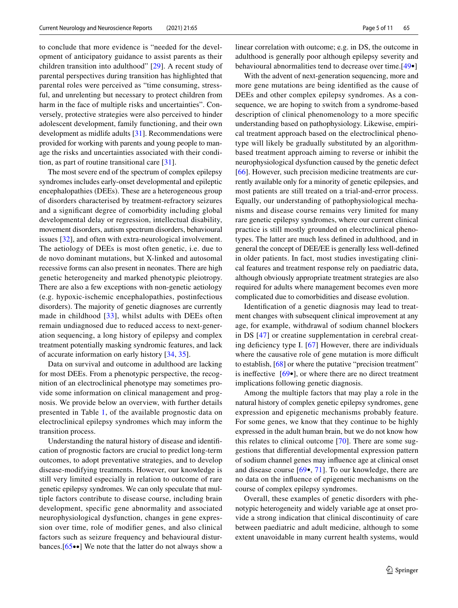to conclude that more evidence is "needed for the development of anticipatory guidance to assist parents as their children transition into adulthood" [[29](#page-8-26)]. A recent study of parental perspectives during transition has highlighted that parental roles were perceived as "time consuming, stressful, and unrelenting but necessary to protect children from harm in the face of multiple risks and uncertainties". Conversely, protective strategies were also perceived to hinder adolescent development, family functioning, and their own development as midlife adults [\[31](#page-8-28)]. Recommendations were provided for working with parents and young people to manage the risks and uncertainties associated with their condition, as part of routine transitional care [[31\]](#page-8-28).

The most severe end of the spectrum of complex epilepsy syndromes includes early-onset developmental and epileptic encephalopathies (DEEs). These are a heterogeneous group of disorders characterised by treatment-refractory seizures and a signifcant degree of comorbidity including global developmental delay or regression, intellectual disability, movement disorders, autism spectrum disorders, behavioural issues [\[32](#page-8-29)], and often with extra-neurological involvement. The aetiology of DEEs is most often genetic, i.e. due to de novo dominant mutations, but X-linked and autosomal recessive forms can also present in neonates. There are high genetic heterogeneity and marked phenotypic pleiotropy. There are also a few exceptions with non-genetic aetiology (e.g. hypoxic-ischemic encephalopathies, postinfectious disorders). The majority of genetic diagnoses are currently made in childhood  $[33]$ , whilst adults with DEEs often remain undiagnosed due to reduced access to next-generation sequencing, a long history of epilepsy and complex treatment potentially masking syndromic features, and lack of accurate information on early history [[34](#page-8-31), [35](#page-8-32)].

Data on survival and outcome in adulthood are lacking for most DEEs. From a phenotypic perspective, the recognition of an electroclinical phenotype may sometimes provide some information on clinical management and prognosis. We provide below an overview, with further details presented in Table [1](#page-5-0), of the available prognostic data on electroclinical epilepsy syndromes which may inform the transition process.

Understanding the natural history of disease and identifcation of prognostic factors are crucial to predict long-term outcomes, to adopt preventative strategies, and to develop disease-modifying treatments. However, our knowledge is still very limited especially in relation to outcome of rare genetic epilepsy syndromes. We can only speculate that multiple factors contribute to disease course, including brain development, specific gene abnormality and associated neurophysiological dysfunction, changes in gene expression over time, role of modifer genes, and also clinical factors such as seizure frequency and behavioural disturbances.[\[65•](#page-9-0)•] We note that the latter do not always show a linear correlation with outcome; e.g. in DS, the outcome in adulthood is generally poor although epilepsy severity and behavioural abnormalities tend to decrease over time.[[49•](#page-9-1)]

With the advent of next-generation sequencing, more and more gene mutations are being identifed as the cause of DEEs and other complex epilepsy syndromes. As a consequence, we are hoping to switch from a syndrome-based description of clinical phenomenology to a more specifc understanding based on pathophysiology. Likewise, empirical treatment approach based on the electroclinical phenotype will likely be gradually substituted by an algorithmbased treatment approach aiming to reverse or inhibit the neurophysiological dysfunction caused by the genetic defect [[66\]](#page-9-2). However, such precision medicine treatments are currently available only for a minority of genetic epilepsies, and most patients are still treated on a trial-and-error process. Equally, our understanding of pathophysiological mechanisms and disease course remains very limited for many rare genetic epilepsy syndromes, where our current clinical practice is still mostly grounded on electroclinical phenotypes. The latter are much less defned in adulthood, and in general the concept of DEE/EE is generally less well-defned in older patients. In fact, most studies investigating clinical features and treatment response rely on paediatric data, although obviously appropriate treatment strategies are also required for adults where management becomes even more complicated due to comorbidities and disease evolution.

Identifcation of a genetic diagnosis may lead to treatment changes with subsequent clinical improvement at any age, for example, withdrawal of sodium channel blockers in DS [[47](#page-9-3)] or creatine supplementation in cerebral creating defciency type I. [[67\]](#page-9-4) However, there are individuals where the causative role of gene mutation is more difficult to establish, [[68\]](#page-9-5) or where the putative "precision treatment" is ineffective  $[69\bullet]$  $[69\bullet]$ , or where there are no direct treatment implications following genetic diagnosis.

Among the multiple factors that may play a role in the natural history of complex genetic epilepsy syndromes, gene expression and epigenetic mechanisms probably feature. For some genes, we know that they continue to be highly expressed in the adult human brain, but we do not know how this relates to clinical outcome [\[70\]](#page-9-7). There are some suggestions that diferential developmental expression pattern of sodium channel genes may infuence age at clinical onset and disease course [\[69](#page-9-6)•, [71\]](#page-9-8). To our knowledge, there are no data on the infuence of epigenetic mechanisms on the course of complex epilepsy syndromes.

Overall, these examples of genetic disorders with phenotypic heterogeneity and widely variable age at onset provide a strong indication that clinical discontinuity of care between paediatric and adult medicine, although to some extent unavoidable in many current health systems, would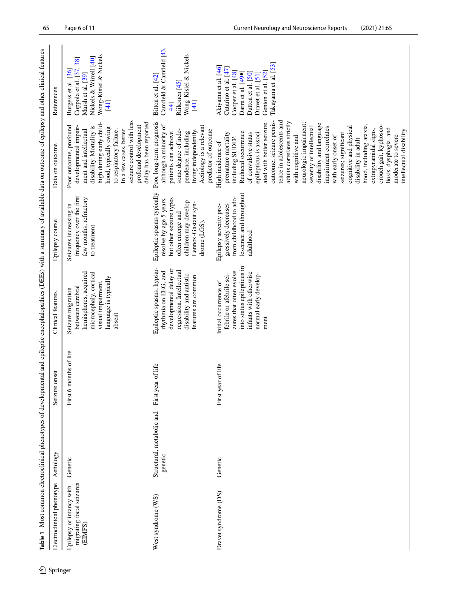<span id="page-5-0"></span>

|                                                                 |                                      |                           |                                                                                                                                                                       | Table 1 Most common electroclinical phenotypes of developmental and epileptic encephalopathies (DEEs) with a summary of available data on outcome of epilepsy and other clinical features |                                                                                                                                                                                                                                                                                                                                                                                                                                                                                                                                                                                                                                                   |                                                                                                                                                                                   |
|-----------------------------------------------------------------|--------------------------------------|---------------------------|-----------------------------------------------------------------------------------------------------------------------------------------------------------------------|-------------------------------------------------------------------------------------------------------------------------------------------------------------------------------------------|---------------------------------------------------------------------------------------------------------------------------------------------------------------------------------------------------------------------------------------------------------------------------------------------------------------------------------------------------------------------------------------------------------------------------------------------------------------------------------------------------------------------------------------------------------------------------------------------------------------------------------------------------|-----------------------------------------------------------------------------------------------------------------------------------------------------------------------------------|
| Electroclinical phenotype                                       | Actiology                            | Seizure onset             | Clinical features                                                                                                                                                     | Epilepsy course                                                                                                                                                                           | Data on outcome                                                                                                                                                                                                                                                                                                                                                                                                                                                                                                                                                                                                                                   | References                                                                                                                                                                        |
| migrating focal seizures<br>Epilepsy of infancy with<br>(EIMFS) | Genetic                              | months of life<br>First 6 | hemispheres, acquired<br>microcephaly, cortical<br>language is typically<br>visual impairment,<br>between cerebral<br>Seizure migration<br>absent                     | frequency over the first<br>few months, refractory<br>Seizures increasing in<br>to treatment                                                                                              | seizure control with less<br>delay has been reported<br>high during early child-<br>profound development<br>Poor outcome, profound<br>developmental impair-<br>disability. Mortality is<br>hood, typically owing<br>ment and intellectual<br>In a few cases, better<br>to respiratory failure.                                                                                                                                                                                                                                                                                                                                                    | Wong-Kisiel & Nickels<br>Nickels & Wirrell [40]<br>Coppola et al. [37, 38]<br>Burgess et al. [36]<br>Marsh et al. [39]<br>[41]                                                    |
| West syndrome (WS)                                              | Structural, metabolic and<br>genetic | First year of life        | Epileptic spasms, hypsar-<br>developmental delay or<br>regression. Intellectual<br>rhythmia on EEG, and<br>disability and autistic<br>features are common             | Epileptic spasms typically<br>but other seizure types<br>resolve by age 5 years,<br>children may develop<br>Lennox-Gastaut syn-<br>often emerge and<br>drome (LGS).                       | Poor long-term prognosis<br>although a minority of<br>Aetiology is a relevant<br>predictor of outcome<br>some degree of inde-<br>living independently.<br>patients can achieve<br>pendence, including                                                                                                                                                                                                                                                                                                                                                                                                                                             | Camfield & Camfield [43,<br>Wong-Kisiel & Nickels<br>Bitton et al. [42]<br>Riikonen [45]<br>$[41]$<br>$\overline{4}$                                                              |
| Dravet syndrome (DS)                                            | Genetic                              | First year of life        | into status epilepticus in<br>zures that often evolve<br>infants with otherwise<br>normal early develop-<br>febrile or afebrile sei-<br>Initial occurrence of<br>ment | lescence and throughout<br>from childhood to ado-<br>gressively decreases<br>Epilepsy severity pro-<br>adulthood                                                                          | outcome; seizure persis-<br>tence in adolescents and<br>adults correlates strictly<br>ated with better seizure<br>neurologic impairment;<br>disability and language<br>hood, including ataxia,<br>severity of intellectual<br>crouch gait, kyphosco-<br>impairment correlates<br>cognitive and physical<br>liosis, dysphagia, and<br>extrapyramidal signs,<br>intellectual disability<br>epilepticus is associ-<br>Reduced occurrence<br>premature mortality<br>of convulsive status<br>seizures; significant<br>moderate to severe<br>with cognitive and<br>with early onset of<br>disability in adult-<br>including SUDEP.<br>High incidence of | Takayama et al. [53]<br>Akiyama et al. [46]<br>Catarino et al. [47]<br>Cooper et al. [48]<br>Genton et al. [52]<br>Darra et al. [49•]<br>Dutton et al. [50]<br>Dravet et al. [51] |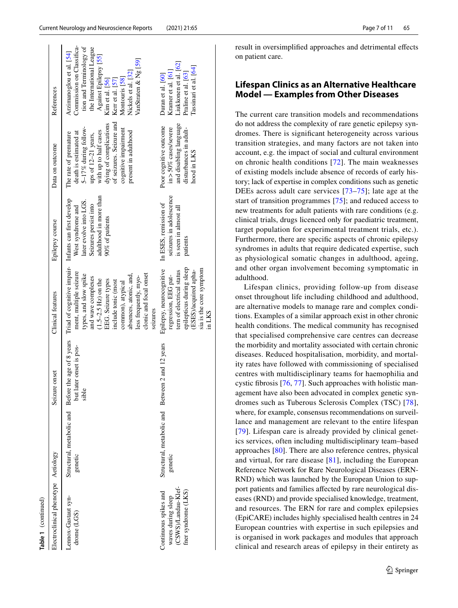| Electroclinical phenotype Aetiology                                                       |                                                             | Seizure onset                                                                                | Clinical features                                                                                                                                                                                                                                                                                                           | Epilepsy course                                                                                                   | Data on outcome                                                                                                                                                                                                              | References                                                                                                                                                                                                                                    |
|-------------------------------------------------------------------------------------------|-------------------------------------------------------------|----------------------------------------------------------------------------------------------|-----------------------------------------------------------------------------------------------------------------------------------------------------------------------------------------------------------------------------------------------------------------------------------------------------------------------------|-------------------------------------------------------------------------------------------------------------------|------------------------------------------------------------------------------------------------------------------------------------------------------------------------------------------------------------------------------|-----------------------------------------------------------------------------------------------------------------------------------------------------------------------------------------------------------------------------------------------|
| Lennox-Gastaut syn-<br>drome (LGS)                                                        | genetic                                                     | Structural, metabolic and Before the age of 8 years<br>later onset is pos-<br>sible<br>but l | Triad of cognitive impair- Infants can first develop<br>ment, multiple seizure<br>clonic and focal onset<br>absences, atonic, and,<br>types, and slow spike<br>less frequently, myo-<br>and wave complexes<br>$(1.5 - 2.5 \text{ Hz})$ on the<br>EEG. Seizure types<br>include tonic (most<br>common), atypical<br>seizures | adulthood in more than<br>later evolve into LGS.<br>Seizures persist into<br>West syndrome and<br>90% of patients | of seizures. Seizure and<br>dying of complications<br>5-17% during follow-<br>cognitive impairment<br>with up to half cases<br>death is estimated at<br>present in adulthood<br>The rate of premature<br>ups of 12-21 years, | Commission on Classifica-<br>tion and Terminology of<br>the International League<br>Arzimanoglou et al. [54]<br>Against Epilepsy [55]<br>VanStraten & Ng [59]<br>Nickels et al. [32]<br>Montouris [58]<br>Kim et al. [56]<br>Kerr et al. [57] |
| (CSWS)/Landau-Klef-<br>fner syndrome (LKS)<br>Continuous spikes and<br>waves during sleep | Structural, metabolic and Between 2 and 12 years<br>genetic |                                                                                              | epilepticus during sleep<br>sia is the core symptom<br>Epilepsy, neurocognitive<br>tern of electrical status<br>(ESES)/acquired apha-<br>regression, EEG pat-<br>in LKS                                                                                                                                                     | seizures in adolescence<br>In ESES, remission of<br>is seen in almost all<br>patients                             | and disabling language<br>Poor cognitive outcome<br>in > 50% cases/severe<br>disturbances in adult-<br>hood in LKS                                                                                                           | Liukkonen et al. [62]<br>Tassinari et al. [64]<br>Kramer et al. [61]<br>Praline et al. [63]<br>Duran et al. [60]                                                                                                                              |

**Table 1**

(continued)

result in oversimplifed approaches and detrimental efects on patient care.

### **Lifespan Clinics as an Alternative Healthcare Model — Examples from Other Diseases**

The current care transition models and recommendations do not address the complexity of rare genetic epilepsy syndromes. There is signifcant heterogeneity across various transition strategies, and many factors are not taken into account, e.g. the impact of social and cultural environment on chronic health conditions [[72](#page-9-21)]. The main weaknesses of existing models include absence of records of early history; lack of expertise in complex conditions such as genetic DEEs across adult care services [[73](#page-9-22)[–75\]](#page-10-0); late age at the start of transition programmes [\[75](#page-10-0)]; and reduced access to new treatments for adult patients with rare conditions (e.g. clinical trials, drugs licenced only for paediatric treatment, target population for experimental treatment trials, etc.). Furthermore, there are specifc aspects of chronic epilepsy syndromes in adults that require dedicated expertise, such as physiological somatic changes in adulthood, ageing, and other organ involvement becoming symptomatic in adulthood.

Lifespan clinics, providing follow-up from disease onset throughout life including childhood and adulthood, are alternative models to manage rare and complex conditions. Examples of a similar approach exist in other chronic health conditions. The medical community has recognised that specialised comprehensive care centres can decrease the morbidity and mortality associated with certain chronic diseases. Reduced hospitalisation, morbidity, and mortality rates have followed with commissioning of specialised centres with multidisciplinary teams for haemophilia and cystic fbrosis [\[76,](#page-10-1) [77\]](#page-10-2). Such approaches with holistic management have also been advocated in complex genetic syndromes such as Tuberous Sclerosis Complex (TSC) [[78](#page-10-3)], where, for example, consensus recommendations on surveillance and management are relevant to the entire lifespan [[79\]](#page-10-4). Lifespan care is already provided by clinical genetics services, often including multidisciplinary team–based approaches [[80\]](#page-10-5). There are also reference centres, physical and virtual, for rare disease [[81\]](#page-10-6), including the European Reference Network for Rare Neurological Diseases (ERN-RND) which was launched by the European Union to support patients and families afected by rare neurological diseases (RND) and provide specialised knowledge, treatment, and resources. The ERN for rare and complex epilepsies (EpiCARE) includes highly specialised health centres in 24 European countries with expertise in such epilepsies and is organised in work packages and modules that approach clinical and research areas of epilepsy in their entirety as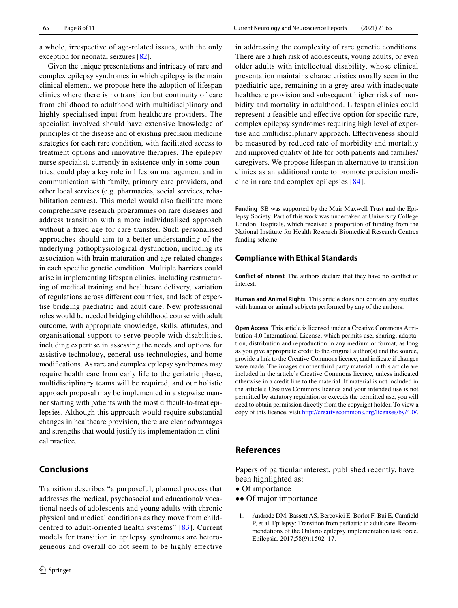a whole, irrespective of age-related issues, with the only exception for neonatal seizures [\[82\]](#page-10-7).

Given the unique presentations and intricacy of rare and complex epilepsy syndromes in which epilepsy is the main clinical element, we propose here the adoption of lifespan clinics where there is no transition but continuity of care from childhood to adulthood with multidisciplinary and highly specialised input from healthcare providers. The specialist involved should have extensive knowledge of principles of the disease and of existing precision medicine strategies for each rare condition, with facilitated access to treatment options and innovative therapies. The epilepsy nurse specialist, currently in existence only in some countries, could play a key role in lifespan management and in communication with family, primary care providers, and other local services (e.g. pharmacies, social services, rehabilitation centres). This model would also facilitate more comprehensive research programmes on rare diseases and address transition with a more individualised approach without a fxed age for care transfer. Such personalised approaches should aim to a better understanding of the underlying pathophysiological dysfunction, including its association with brain maturation and age-related changes in each specifc genetic condition. Multiple barriers could arise in implementing lifespan clinics, including restructuring of medical training and healthcare delivery, variation of regulations across diferent countries, and lack of expertise bridging paediatric and adult care. New professional roles would be needed bridging childhood course with adult outcome, with appropriate knowledge, skills, attitudes, and organisational support to serve people with disabilities, including expertise in assessing the needs and options for assistive technology, general-use technologies, and home modifcations. As rare and complex epilepsy syndromes may require health care from early life to the geriatric phase, multidisciplinary teams will be required, and our holistic approach proposal may be implemented in a stepwise manner starting with patients with the most difficult-to-treat epilepsies. Although this approach would require substantial changes in healthcare provision, there are clear advantages and strengths that would justify its implementation in clinical practice.

## **Conclusions**

Transition describes "a purposeful, planned process that addresses the medical, psychosocial and educational/ vocational needs of adolescents and young adults with chronic physical and medical conditions as they move from childcentred to adult-oriented health systems" [[83\]](#page-10-8). Current models for transition in epilepsy syndromes are heterogeneous and overall do not seem to be highly efective in addressing the complexity of rare genetic conditions. There are a high risk of adolescents, young adults, or even older adults with intellectual disability, whose clinical presentation maintains characteristics usually seen in the paediatric age, remaining in a grey area with inadequate healthcare provision and subsequent higher risks of morbidity and mortality in adulthood. Lifespan clinics could represent a feasible and efective option for specifc rare, complex epilepsy syndromes requiring high level of expertise and multidisciplinary approach. Efectiveness should be measured by reduced rate of morbidity and mortality and improved quality of life for both patients and families/ caregivers. We propose lifespan in alternative to transition clinics as an additional route to promote precision medicine in rare and complex epilepsies [[84](#page-10-9)].

**Funding** SB was supported by the Muir Maxwell Trust and the Epilepsy Society. Part of this work was undertaken at University College London Hospitals, which received a proportion of funding from the National Institute for Health Research Biomedical Research Centres funding scheme.

#### **Compliance with Ethical Standards**

**Conflict of Interest** The authors declare that they have no confict of interest.

**Human and Animal Rights** This article does not contain any studies with human or animal subjects performed by any of the authors.

**Open Access** This article is licensed under a Creative Commons Attribution 4.0 International License, which permits use, sharing, adaptation, distribution and reproduction in any medium or format, as long as you give appropriate credit to the original author(s) and the source, provide a link to the Creative Commons licence, and indicate if changes were made. The images or other third party material in this article are included in the article's Creative Commons licence, unless indicated otherwise in a credit line to the material. If material is not included in the article's Creative Commons licence and your intended use is not permitted by statutory regulation or exceeds the permitted use, you will need to obtain permission directly from the copyright holder. To view a copy of this licence, visit<http://creativecommons.org/licenses/by/4.0/>.

#### **References**

Papers of particular interest, published recently, have been highlighted as:

- Of importance
- •• Of major importance
- <span id="page-7-0"></span>1. Andrade DM, Bassett AS, Bercovici E, Borlot F, Bui E, Camfeld P, et al. Epilepsy: Transition from pediatric to adult care. Recommendations of the Ontario epilepsy implementation task force. Epilepsia. 2017;58(9):1502–17.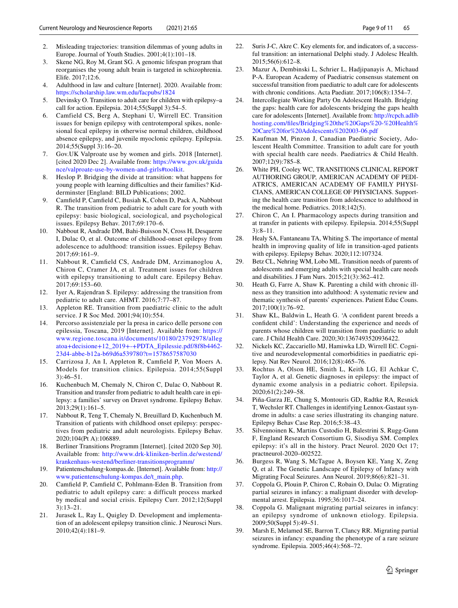- <span id="page-8-0"></span>2. Misleading trajectories: transition dilemmas of young adults in Europe. Journal of Youth Studies. 2001;4(1):101–18.
- <span id="page-8-1"></span>3. Skene NG, Roy M, Grant SG. A genomic lifespan program that reorganises the young adult brain is targeted in schizophrenia. Elife. 2017;12:6.
- <span id="page-8-2"></span>Adulthood in law and culture [Internet]. 2020. Available from: <https://scholarship.law.wm.edu/facpubs/1824>
- <span id="page-8-3"></span>5. Devinsky O. Transition to adult care for children with epilepsy–a call for action. Epilepsia. 2014;55(Suppl 3):54–5.
- <span id="page-8-4"></span>6. Camfield CS, Berg A, Stephani U, Wirrell EC. Transition issues for benign epilepsy with centrotemporal spikes, nonlesional focal epilepsy in otherwise normal children, childhood absence epilepsy, and juvenile myoclonic epilepsy. Epilepsia. 2014;55(Suppl 3):16–20.
- <span id="page-8-5"></span>7. Gov.UK Valproate use by women and girls. 2018 [Internet]. [cited 2020 Dec 2]. Available from: [https://www.gov.uk/guida](https://www.gov.uk/guidance/valproate-use-by-women-and-girls#toolkit) [nce/valproate-use-by-women-and-girls#toolkit.](https://www.gov.uk/guidance/valproate-use-by-women-and-girls#toolkit)
- <span id="page-8-6"></span>8. Heslop P. Bridging the divide at transition: what happens for young people with learning difficulties and their families? Kidderminster [England: BILD Publications; 2002.
- <span id="page-8-7"></span>9. Camfeld P, Camfeld C, Busiah K, Cohen D, Pack A, Nabbout R. The transition from pediatric to adult care for youth with epilepsy: basic biological, sociological, and psychological issues. Epilepsy Behav. 2017;69:170–6.
- <span id="page-8-9"></span>10. Nabbout R, Andrade DM, Bahi-Buisson N, Cross H, Desquerre I, Dulac O, et al. Outcome of childhood-onset epilepsy from adolescence to adulthood: transition issues. Epilepsy Behav. 2017;69:161–9.
- <span id="page-8-8"></span>11. Nabbout R, Camfeld CS, Andrade DM, Arzimanoglou A, Chiron C, Cramer JA, et al. Treatment issues for children with epilepsy transitioning to adult care. Epilepsy Behav. 2017;69:153–60.
- <span id="page-8-10"></span>12. Iyer A, Rajendran S. Epilepsy: addressing the transition from pediatric to adult care. AHMT. 2016;7:77–87.
- <span id="page-8-11"></span>13. Appleton RE. Transition from paediatric clinic to the adult service. J R Soc Med. 2001;94(10):554.
- <span id="page-8-12"></span>14. Percorso assistenziale per la presa in carico delle persone con epilessia, Toscana, 2019 [Internet]. Available from: [https://](https://www.regione.toscana.it/documents/10180/23792978/allegatoa+decisione+12_2019+-+PDTA_Epilessie.pdf/8f8b4462-23d4-abbe-b12a-b69d6a539780?t=1578657587030) [www.regione.toscana.it/documents/10180/23792978/alleg](https://www.regione.toscana.it/documents/10180/23792978/allegatoa+decisione+12_2019+-+PDTA_Epilessie.pdf/8f8b4462-23d4-abbe-b12a-b69d6a539780?t=1578657587030) [atoa+decisione+12\\_2019+-+PDTA\\_Epilessie.pdf/8f8b4462-](https://www.regione.toscana.it/documents/10180/23792978/allegatoa+decisione+12_2019+-+PDTA_Epilessie.pdf/8f8b4462-23d4-abbe-b12a-b69d6a539780?t=1578657587030) [23d4-abbe-b12a-b69d6a539780?t=1578657587030](https://www.regione.toscana.it/documents/10180/23792978/allegatoa+decisione+12_2019+-+PDTA_Epilessie.pdf/8f8b4462-23d4-abbe-b12a-b69d6a539780?t=1578657587030)
- <span id="page-8-13"></span>15. Carrizosa J, An I, Appleton R, Camfeld P, Von Moers A. Models for transition clinics. Epilepsia. 2014;55(Suppl 3):46–51.
- <span id="page-8-14"></span>16. Kuchenbuch M, Chemaly N, Chiron C, Dulac O, Nabbout R. Transition and transfer from pediatric to adult health care in epilepsy: a families' survey on Dravet syndrome. Epilepsy Behav. 2013;29(1):161–5.
- <span id="page-8-15"></span>17. Nabbout R, Teng T, Chemaly N, Breuillard D, Kuchenbuch M. Transition of patients with childhood onset epilepsy: perspectives from pediatric and adult neurologists. Epilepsy Behav. 2020;104(Pt A):106889.
- <span id="page-8-16"></span>18. Berliner Transitions Programm [Internet]. [cited 2020 Sep 30]. Available from: [http://www.drk-kliniken-berlin.de/westend/](http://www.drk-kliniken-berlin.de/westend/krankenhaus-westend/berliner-transitionsprogramm/) [krankenhaus-westend/berliner-transitionsprogramm/](http://www.drk-kliniken-berlin.de/westend/krankenhaus-westend/berliner-transitionsprogramm/)
- <span id="page-8-17"></span>19. Patientenschulung-kompas.de. [Internet]. Available from: [http://](http://www.patientenschulung-kompas.de/t_main.php) [www.patientenschulung-kompas.de/t\\_main.php.](http://www.patientenschulung-kompas.de/t_main.php)
- <span id="page-8-18"></span>20. Camfeld P, Camfeld C, Pohlmann-Eden B. Transition from pediatric to adult epilepsy care: a difficult process marked by medical and social crisis. Epilepsy Curr. 2012;12(Suppl 3):13–21.
- <span id="page-8-19"></span>21. Jurasek L, Ray L, Quigley D. Development and implementation of an adolescent epilepsy transition clinic. J Neurosci Nurs. 2010;42(4):181–9.
- <span id="page-8-20"></span>22. Suris J-C, Akre C. Key elements for, and indicators of, a successful transition: an international Delphi study. J Adolesc Health. 2015;56(6):612–8.
- <span id="page-8-21"></span>23. Mazur A, Dembinski L, Schrier L, Hadjipanayis A, Michaud P-A. European Academy of Paediatric consensus statement on successful transition from paediatric to adult care for adolescents with chronic conditions. Acta Paediatr. 2017;106(8):1354–7.
- <span id="page-8-22"></span>24. Intercollegiate Working Party On Adolescent Health. Bridging the gaps: health care for adolescents bridging the gaps health care for adolescents [Internet]. Available from: [http://rcpch.adlib](http://rcpch.adlibhosting.com/files/Bridging%20the%20Gaps%20-%20Health%20Care%20for%20Adolescents%202003-06.pdf) [hosting.com/fles/Bridging%20the%20Gaps%20-%20Health%](http://rcpch.adlibhosting.com/files/Bridging%20the%20Gaps%20-%20Health%20Care%20for%20Adolescents%202003-06.pdf) [20Care%20for%20Adolescents%202003-06.pdf](http://rcpch.adlibhosting.com/files/Bridging%20the%20Gaps%20-%20Health%20Care%20for%20Adolescents%202003-06.pdf)
- 25. Kaufman M, Pinzon J, Canadian Paediatric Society, Adolescent Health Committee. Transition to adult care for youth with special health care needs. Paediatrics & Child Health. 2007;12(9):785–8.
- <span id="page-8-23"></span>26. White PH, Cooley WC, TRANSITIONS CLINICAL REPORT AUTHORING GROUP, AMERICAN ACADEMY OF PEDI-ATRICS, AMERICAN ACADEMY OF FAMILY PHYSI-CIANS, AMERICAN COLLEGE OF PHYSICIANS. Supporting the health care transition from adolescence to adulthood in the medical home. Pediatrics. 2018;142(5).
- <span id="page-8-24"></span>27. Chiron C, An I. Pharmacology aspects during transition and at transfer in patients with epilepsy. Epilepsia. 2014;55(Suppl 3):8–11.
- <span id="page-8-25"></span>28. Healy SA, Fantaneanu TA, Whiting S. The importance of mental health in improving quality of life in transition-aged patients with epilepsy. Epilepsy Behav. 2020;112:107324.
- <span id="page-8-26"></span>29. Betz CL, Nehring WM, Lobo ML. Transition needs of parents of adolescents and emerging adults with special health care needs and disabilities. J Fam Nurs. 2015;21(3):362–412.
- <span id="page-8-27"></span>30. Heath G, Farre A, Shaw K. Parenting a child with chronic illness as they transition into adulthood: A systematic review and thematic synthesis of parents' experiences. Patient Educ Couns. 2017;100(1):76–92.
- <span id="page-8-28"></span>31. Shaw KL, Baldwin L, Heath G. 'A confdent parent breeds a confdent child': Understanding the experience and needs of parents whose children will transition from paediatric to adult care. J Child Health Care. 2020;30:1367493520936422.
- <span id="page-8-29"></span>32. Nickels KC, Zaccariello MJ, Hamiwka LD, Wirrell EC. Cognitive and neurodevelopmental comorbidities in paediatric epilepsy. Nat Rev Neurol. 2016;12(8):465–76.
- <span id="page-8-30"></span>33. Rochtus A, Olson HE, Smith L, Keith LG, El Achkar C, Taylor A, et al. Genetic diagnoses in epilepsy: the impact of dynamic exome analysis in a pediatric cohort. Epilepsia. 2020;61(2):249–58.
- <span id="page-8-31"></span>34. Piña-Garza JE, Chung S, Montouris GD, Radtke RA, Resnick T, Wechsler RT. Challenges in identifying Lennox-Gastaut syndrome in adults: a case series illustrating its changing nature. Epilepsy Behav Case Rep. 2016;5:38–43.
- <span id="page-8-32"></span>35. Silvennoinen K, Martins Custodio H, Balestrini S, Rugg-Gunn F, England Research Consortium G, Sisodiya SM. Complex epilepsy: it's all in the history. Pract Neurol. 2020 Oct 17; practneurol-2020–002522.
- <span id="page-8-33"></span>36. Burgess R, Wang S, McTague A, Boysen KE, Yang X, Zeng Q, et al. The Genetic Landscape of Epilepsy of Infancy with Migrating Focal Seizures. Ann Neurol. 2019;86(6):821–31.
- <span id="page-8-34"></span>37. Coppola G, Plouin P, Chiron C, Robain O, Dulac O. Migrating partial seizures in infancy: a malignant disorder with developmental arrest. Epilepsia. 1995;36:1017–24.
- <span id="page-8-35"></span>38. Coppola G. Malignant migrating partial seizures in infancy: an epilepsy syndrome of unknown etiology. Epilepsia. 2009;50(Suppl 5):49–51.
- <span id="page-8-36"></span>39. Marsh E, Melamed SE, Barron T, Clancy RR. Migrating partial seizures in infancy: expanding the phenotype of a rare seizure syndrome. Epilepsia. 2005;46(4):568–72.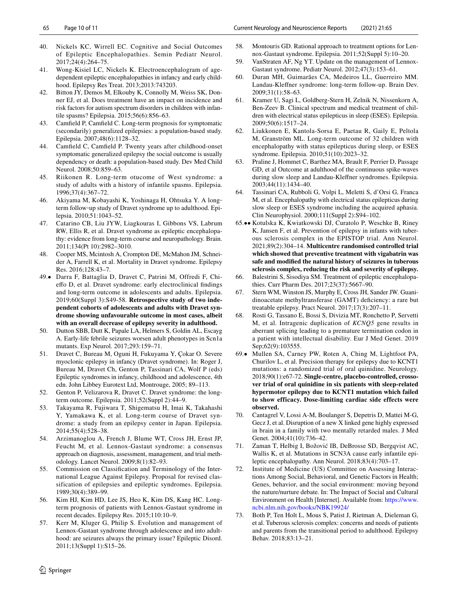- <span id="page-9-9"></span>40. Nickels KC, Wirrell EC. Cognitive and Social Outcomes of Epileptic Encephalopathies. Semin Pediatr Neurol. 2017;24(4):264–75.
- <span id="page-9-10"></span>41. Wong-Kisiel LC, Nickels K. Electroencephalogram of agedependent epileptic encephalopathies in infancy and early childhood. Epilepsy Res Treat. 2013;2013:743203.
- <span id="page-9-11"></span>42. Bitton JY, Demos M, Elkouby K, Connolly M, Weiss SK, Donner EJ, et al. Does treatment have an impact on incidence and risk factors for autism spectrum disorders in children with infantile spasms? Epilepsia. 2015;56(6):856–63.
- <span id="page-9-12"></span>43. Camfeld P, Camfeld C. Long-term prognosis for symptomatic (secondarily) generalized epilepsies: a population-based study. Epilepsia. 2007;48(6):1128–32.
- <span id="page-9-13"></span>44. Camfeld C, Camfeld P. Twenty years after childhood-onset symptomatic generalized epilepsy the social outcome is usually dependency or death: a population-based study. Dev Med Child Neurol. 2008;50:859–63.
- <span id="page-9-14"></span>45. Riikonen R. Long-term otucome of West syndrome: a study of adults with a history of infantile spasms. Epilepsia. 1996;37(4):367–72.
- <span id="page-9-15"></span>46. Akiyama M, Kobayashi K, Yoshinaga H, Ohtsuka Y. A long‐ term follow‐up study of Dravet syndrome up to adulthood. Epilepsia. 2010;51:1043–52.
- <span id="page-9-3"></span>47. Catarino CB, Liu JYW, Liagkouras I, Gibbons VS, Labrum RW, Ellis R, et al. Dravet syndrome as epileptic encephalopathy: evidence from long-term course and neuropathology. Brain. 2011;134(Pt 10):2982–3010.
- <span id="page-9-16"></span>48. Cooper MS, Mcintosh A, Crompton DE, McMahon JM, Schneider A, Farrell K, et al. Mortality in Dravet syndrome. Epilepsy Res. 2016;128:43–7.
- <span id="page-9-1"></span>49.• Darra F, Battaglia D, Dravet C, Patrini M, Offredi F, Chieffo D, et al. Dravet syndrome: early electroclinical findings and long-term outcome in adolescents and adults. Epilepsia. 2019;60(Suppl 3):S49-58. **Retrospective study of two independent cohorts of adolescents and adults with Dravet syndrome showing unfavourable outcome in most cases, albeit with an overall decrease of epilepsy severity in adulthood.**
- <span id="page-9-17"></span>50. Dutton SBB, Dutt K, Papale LA, Helmers S, Goldin AL, Escayg A. Early-life febrile seizures worsen adult phenotypes in Scn1a mutants. Exp Neurol. 2017;293:159–71.
- <span id="page-9-18"></span>51. Dravet C, Bureau M, Oguni H, Fukuyama Y, Çokar O. Severe myoclonic epilepsy in infancy (Dravet syndrome). In: Roger J, Bureau M, Dravet Ch, Genton P, Tassinari CA, Wolf P (eds) Epileptic syndromes in infancy, childhood and adolescence, 4th edn. John Libbey Eurotext Ltd, Montrouge, 2005; 89–113.
- <span id="page-9-19"></span>52. Genton P, Velizarova R, Dravet C. Dravet syndrome: the longterm outcome. Epilepsia. 2011;52(Suppl 2):44–9.
- <span id="page-9-20"></span>53. Takayama R, Fujiwara T, Shigematsu H, Imai K, Takahashi Y, Yamakawa K, et al. Long-term course of Dravet syndrome: a study from an epilepsy center in Japan. Epilepsia. 2014;55(4):528–38.
- <span id="page-9-23"></span>54. Arzimanoglou A, French J, Blume WT, Cross JH, Ernst JP, Feucht M, et al. Lennox-Gastaut syndrome: a consensus approach on diagnosis, assessment, management, and trial methodology. Lancet Neurol. 2009;8(1):82–93.
- <span id="page-9-24"></span>55. Commission on Classifcation and Terminology of the International League Against Epilepsy. Proposal for revised classification of epilepsies and epileptic syndromes. Epilepsia. 1989;30(4):389–99.
- <span id="page-9-25"></span>56. Kim HJ, Kim HD, Lee JS, Heo K, Kim DS, Kang HC. Longterm prognosis of patients with Lennox-Gastaut syndrome in recent decades. Epilepsy Res. 2015;110:10–9.
- <span id="page-9-26"></span>57. Kerr M, Kluger G, Philip S. Evolution and management of Lennox-Gastaut syndrome through adolescence and into adulthood: are seizures always the primary issue? Epileptic Disord. 2011;13(Suppl 1):S15–26.
- <span id="page-9-27"></span>58. Montouris GD. Rational approach to treatment options for Lennox-Gastaut syndrome. Epilepsia. 2011;52(Suppl 5):10–20.
- <span id="page-9-28"></span>59. VanStraten AF, Ng YT. Update on the management of Lennox-Gastaut syndrome. Pediatr Neurol. 2012;47(3):153–61.
- <span id="page-9-29"></span>60. Duran MH, Guimarães CA, Medeiros LL, Guerreiro MM. Landau-Klefner syndrome: long-term follow-up. Brain Dev. 2009;31(1):58–63.
- <span id="page-9-30"></span>61. Kramer U, Sagi L, Goldberg-Stern H, Zelnik N, Nissenkorn A, Ben-Zeev B. Clinical spectrum and medical treatment of children with electrical status epilepticus in sleep (ESES). Epilepsia. 2009;50(6):1517–24.
- <span id="page-9-31"></span>62. Liukkonen E, Kantola-Sorsa E, Paetau R, Gaily E, Peltola M, Granström ML. Long-term outcome of 32 children with encephalopathy with status epilepticus during sleep, or ESES syndrome. Epilepsia. 2010;51(10):2023–32.
- <span id="page-9-32"></span>63. Praline J, Hommet C, Barthez MA, Brault F, Perrier D, Passage GD, et al Outcome at adulthood of the continuous spike-waves during slow sleep and Landau-Klefner syndromes. Epilepsia. 2003;44(11):1434–40.
- <span id="page-9-33"></span>64. Tassinari CA, Rubboli G, Volpi L, Meletti S, d'Orsi G, Franca M, et al. Encephalopathy with electrical status epilepticus during slow sleep or ESES syndrome including the acquired aphasia. Clin Neurophysiol. 2000;111(Suppl 2):S94–102.
- <span id="page-9-0"></span>65.•• Kotulska K, Kwiatkowski DJ, Curatolo P, Weschke B, Riney K, Jansen F, et al. Prevention of epilepsy in infants with tuberous sclerosis complex in the EPISTOP trial. Ann Neurol. 2021;89(2):304–14. **Multicentre randomised controlled trial which showed that preventive treatment with vigabatrin was safe and modifed the natural history of seizures in tuberous sclerosis complex, reducing the risk and severity of epilepsy.**
- <span id="page-9-2"></span>66. Balestrini S, Sisodiya SM. Treatment of epileptic encephalopathies. Curr Pharm Des. 2017;23(37):5667–90.
- <span id="page-9-4"></span>67. Stern WM, Winston JS, Murphy E, Cross JH, Sander JW. Guanidinoacetate methyltransferase (GAMT) deficiency: a rare but treatable epilepsy. Pract Neurol. 2017;17(3):207–11.
- <span id="page-9-5"></span>68. Rosti G, Tassano E, Bossi S, Divizia MT, Ronchetto P, Servetti M, et al. Intragenic duplication of *KCNQ5* gene results in aberrant splicing leading to a premature termination codon in a patient with intellectual disability. Eur J Med Genet. 2019 Sep;62(9):103555.
- <span id="page-9-6"></span>69.• Mullen SA, Carney PW, Roten A, Ching M, Lightfoot PA, Churilov L, et al. Precision therapy for epilepsy due to KCNT1 mutations: a randomized trial of oral quinidine. Neurology. 2018;90(1):e67-72. **Single-centre, placebo-controlled, crossover trial of oral quinidine in six patients with sleep-related hypermotor epilepsy due to KCNT1 mutation which failed to show efficacy. Dose-limiting cardiac side effects were observed.**
- <span id="page-9-7"></span>70. Cantagrel V, Lossi A-M, Boulanger S, Depetris D, Mattei M-G, Gecz J, et al. Disruption of a new X linked gene highly expressed in brain in a family with two mentally retarded males. J Med Genet. 2004;41(10):736–42.
- <span id="page-9-8"></span>71. Zaman T, Helbig I, Božović IB, DeBrosse SD, Bergqvist AC, Wallis K, et al. Mutations in SCN3A cause early infantile epileptic encephalopathy. Ann Neurol. 2018;83(4):703–17.
- <span id="page-9-21"></span>72. Institute of Medicine (US) Committee on Assessing Interactions Among Social, Behavioral, and Genetic Factors in Health; Genes, behavior, and the social environment: moving beyond the nature/nurture debate. In: The Impact of Social and Cultural Environment on Health [Internet]. Available from: [https://www.](https://www.ncbi.nlm.nih.gov/books/NBK19924/) [ncbi.nlm.nih.gov/books/NBK19924/](https://www.ncbi.nlm.nih.gov/books/NBK19924/)
- <span id="page-9-22"></span>73. Both P, Ten Holt L, Mous S, Patist J, Rietman A, Dieleman G, et al. Tuberous sclerosis complex: concerns and needs of patients and parents from the transitional period to adulthood. Epilepsy Behav. 2018;83:13–21.